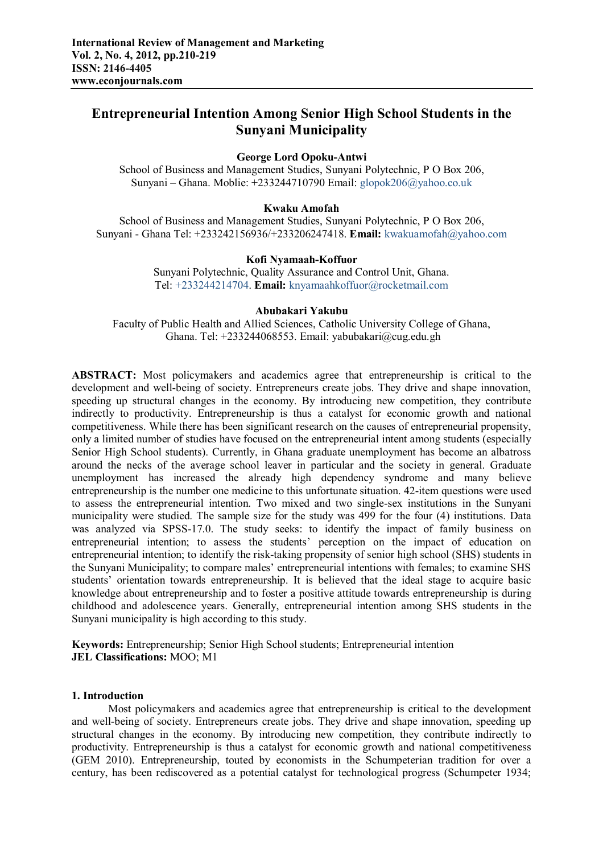# **Entrepreneurial Intention Among Senior High School Students in the Sunyani Municipality**

## **George Lord Opoku-Antwi**

School of Business and Management Studies, Sunyani Polytechnic, P O Box 206, Sunyani – Ghana. Moblie: +233244710790 Email: glopok206@yahoo.co.uk

## **Kwaku Amofah**

School of Business and Management Studies, Sunyani Polytechnic, P O Box 206, Sunyani - Ghana Tel: +233242156936/+233206247418. **Email:** kwakuamofah@yahoo.com

#### **Kofi Nyamaah-Koffuor**

Sunyani Polytechnic, Quality Assurance and Control Unit, Ghana. Tel: +233244214704. **Email:** knyamaahkoffuor@rocketmail.com

#### **Abubakari Yakubu**

Faculty of Public Health and Allied Sciences, Catholic University College of Ghana, Ghana. Tel: +233244068553. Email: yabubakari@cug.edu.gh

**ABSTRACT:** Most policymakers and academics agree that entrepreneurship is critical to the development and well-being of society. Entrepreneurs create jobs. They drive and shape innovation, speeding up structural changes in the economy. By introducing new competition, they contribute indirectly to productivity. Entrepreneurship is thus a catalyst for economic growth and national competitiveness. While there has been significant research on the causes of entrepreneurial propensity, only a limited number of studies have focused on the entrepreneurial intent among students (especially Senior High School students). Currently, in Ghana graduate unemployment has become an albatross around the necks of the average school leaver in particular and the society in general. Graduate unemployment has increased the already high dependency syndrome and many believe entrepreneurship is the number one medicine to this unfortunate situation. 42-item questions were used to assess the entrepreneurial intention. Two mixed and two single-sex institutions in the Sunyani municipality were studied. The sample size for the study was 499 for the four (4) institutions. Data was analyzed via SPSS-17.0. The study seeks: to identify the impact of family business on entrepreneurial intention; to assess the students' perception on the impact of education on entrepreneurial intention; to identify the risk-taking propensity of senior high school (SHS) students in the Sunyani Municipality; to compare males' entrepreneurial intentions with females; to examine SHS students' orientation towards entrepreneurship. It is believed that the ideal stage to acquire basic knowledge about entrepreneurship and to foster a positive attitude towards entrepreneurship is during childhood and adolescence years. Generally, entrepreneurial intention among SHS students in the Sunyani municipality is high according to this study.

**Keywords:** Entrepreneurship; Senior High School students; Entrepreneurial intention **JEL Classifications:** MOO; M1

#### **1. Introduction**

Most policymakers and academics agree that entrepreneurship is critical to the development and well-being of society. Entrepreneurs create jobs. They drive and shape innovation, speeding up structural changes in the economy. By introducing new competition, they contribute indirectly to productivity. Entrepreneurship is thus a catalyst for economic growth and national competitiveness (GEM 2010). Entrepreneurship, touted by economists in the Schumpeterian tradition for over a century, has been rediscovered as a potential catalyst for technological progress (Schumpeter 1934;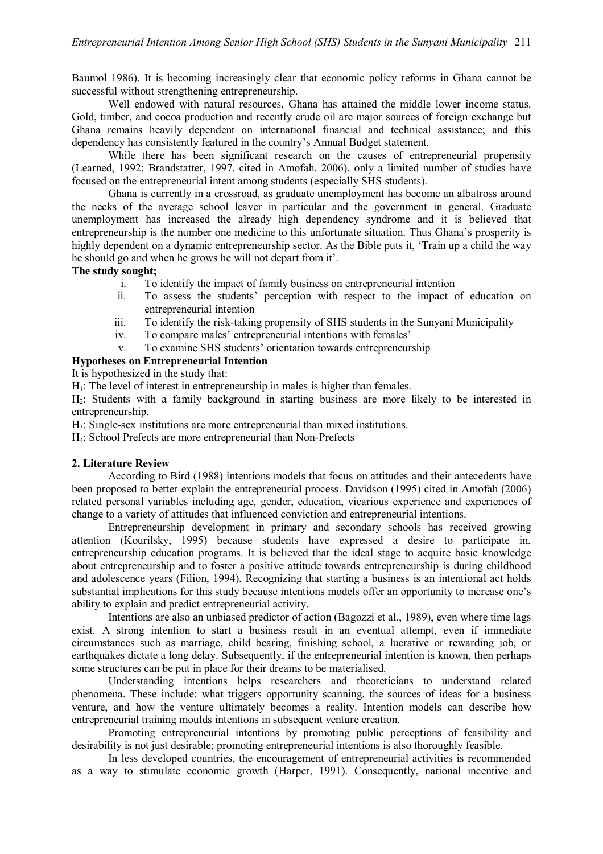Baumol 1986). It is becoming increasingly clear that economic policy reforms in Ghana cannot be successful without strengthening entrepreneurship.

Well endowed with natural resources, Ghana has attained the middle lower income status. Gold, timber, and cocoa production and recently crude oil are major sources of foreign exchange but Ghana remains heavily dependent on international financial and technical assistance; and this dependency has consistently featured in the country's Annual Budget statement.

While there has been significant research on the causes of entrepreneurial propensity (Learned, 1992; Brandstatter, 1997, cited in Amofah, 2006), only a limited number of studies have focused on the entrepreneurial intent among students (especially SHS students).

Ghana is currently in a crossroad, as graduate unemployment has become an albatross around the necks of the average school leaver in particular and the government in general. Graduate unemployment has increased the already high dependency syndrome and it is believed that entrepreneurship is the number one medicine to this unfortunate situation. Thus Ghana's prosperity is highly dependent on a dynamic entrepreneurship sector. As the Bible puts it, 'Train up a child the way he should go and when he grows he will not depart from it'.

## **The study sought;**

- i. To identify the impact of family business on entrepreneurial intention
- ii. To assess the students' perception with respect to the impact of education on entrepreneurial intention
- iii. To identify the risk-taking propensity of SHS students in the Sunyani Municipality
- iv. To compare males' entrepreneurial intentions with females'
- v. To examine SHS students' orientation towards entrepreneurship

## **Hypotheses on Entrepreneurial Intention**

It is hypothesized in the study that:

 $H_1$ : The level of interest in entrepreneurship in males is higher than females.

H2: Students with a family background in starting business are more likely to be interested in entrepreneurship.

H3: Single-sex institutions are more entrepreneurial than mixed institutions.

H4: School Prefects are more entrepreneurial than Non-Prefects

# **2. Literature Review**

According to Bird (1988) intentions models that focus on attitudes and their antecedents have been proposed to better explain the entrepreneurial process. Davidson (1995) cited in Amofah (2006) related personal variables including age, gender, education, vicarious experience and experiences of change to a variety of attitudes that influenced conviction and entrepreneurial intentions.

Entrepreneurship development in primary and secondary schools has received growing attention (Kourilsky, 1995) because students have expressed a desire to participate in, entrepreneurship education programs. It is believed that the ideal stage to acquire basic knowledge about entrepreneurship and to foster a positive attitude towards entrepreneurship is during childhood and adolescence years (Filion, 1994). Recognizing that starting a business is an intentional act holds substantial implications for this study because intentions models offer an opportunity to increase one's ability to explain and predict entrepreneurial activity.

Intentions are also an unbiased predictor of action (Bagozzi et al., 1989), even where time lags exist. A strong intention to start a business result in an eventual attempt, even if immediate circumstances such as marriage, child bearing, finishing school, a lucrative or rewarding job, or earthquakes dictate a long delay. Subsequently, if the entrepreneurial intention is known, then perhaps some structures can be put in place for their dreams to be materialised.

Understanding intentions helps researchers and theoreticians to understand related phenomena. These include: what triggers opportunity scanning, the sources of ideas for a business venture, and how the venture ultimately becomes a reality. Intention models can describe how entrepreneurial training moulds intentions in subsequent venture creation.

Promoting entrepreneurial intentions by promoting public perceptions of feasibility and desirability is not just desirable; promoting entrepreneurial intentions is also thoroughly feasible.

In less developed countries, the encouragement of entrepreneurial activities is recommended as a way to stimulate economic growth (Harper, 1991). Consequently, national incentive and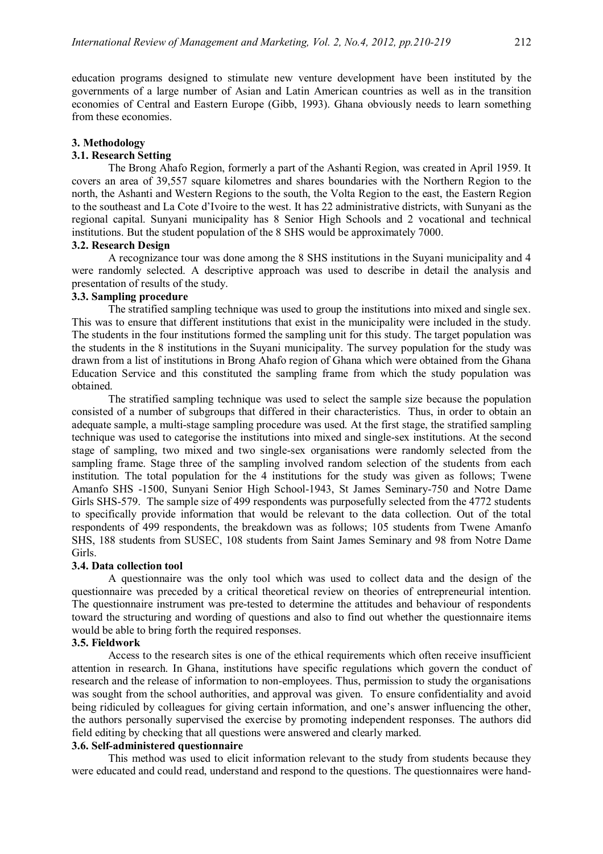education programs designed to stimulate new venture development have been instituted by the governments of a large number of Asian and Latin American countries as well as in the transition economies of Central and Eastern Europe (Gibb, 1993). Ghana obviously needs to learn something from these economies.

#### **3. Methodology**

# **3.1. Research Setting**

The Brong Ahafo Region, formerly a part of the Ashanti Region, was created in April 1959. It covers an area of 39,557 square kilometres and shares boundaries with the Northern Region to the north, the Ashanti and Western Regions to the south, the Volta Region to the east, the Eastern Region to the southeast and La Cote d'Ivoire to the west. It has 22 administrative districts, with Sunyani as the regional capital. Sunyani municipality has 8 Senior High Schools and 2 vocational and technical institutions. But the student population of the 8 SHS would be approximately 7000.

### **3.2. Research Design**

A recognizance tour was done among the 8 SHS institutions in the Suyani municipality and 4 were randomly selected. A descriptive approach was used to describe in detail the analysis and presentation of results of the study.

## **3.3. Sampling procedure**

The stratified sampling technique was used to group the institutions into mixed and single sex. This was to ensure that different institutions that exist in the municipality were included in the study. The students in the four institutions formed the sampling unit for this study. The target population was the students in the 8 institutions in the Suyani municipality. The survey population for the study was drawn from a list of institutions in Brong Ahafo region of Ghana which were obtained from the Ghana Education Service and this constituted the sampling frame from which the study population was obtained.

The stratified sampling technique was used to select the sample size because the population consisted of a number of subgroups that differed in their characteristics. Thus, in order to obtain an adequate sample, a multi-stage sampling procedure was used. At the first stage, the stratified sampling technique was used to categorise the institutions into mixed and single-sex institutions. At the second stage of sampling, two mixed and two single-sex organisations were randomly selected from the sampling frame. Stage three of the sampling involved random selection of the students from each institution. The total population for the 4 institutions for the study was given as follows; Twene Amanfo SHS -1500, Sunyani Senior High School-1943, St James Seminary-750 and Notre Dame Girls SHS-579. The sample size of 499 respondents was purposefully selected from the 4772 students to specifically provide information that would be relevant to the data collection. Out of the total respondents of 499 respondents, the breakdown was as follows; 105 students from Twene Amanfo SHS, 188 students from SUSEC, 108 students from Saint James Seminary and 98 from Notre Dame Girls.

#### **3.4. Data collection tool**

A questionnaire was the only tool which was used to collect data and the design of the questionnaire was preceded by a critical theoretical review on theories of entrepreneurial intention. The questionnaire instrument was pre-tested to determine the attitudes and behaviour of respondents toward the structuring and wording of questions and also to find out whether the questionnaire items would be able to bring forth the required responses.

## **3.5. Fieldwork**

Access to the research sites is one of the ethical requirements which often receive insufficient attention in research. In Ghana, institutions have specific regulations which govern the conduct of research and the release of information to non-employees. Thus, permission to study the organisations was sought from the school authorities, and approval was given. To ensure confidentiality and avoid being ridiculed by colleagues for giving certain information, and one's answer influencing the other, the authors personally supervised the exercise by promoting independent responses. The authors did field editing by checking that all questions were answered and clearly marked.

#### **3.6. Self-administered questionnaire**

This method was used to elicit information relevant to the study from students because they were educated and could read, understand and respond to the questions. The questionnaires were hand-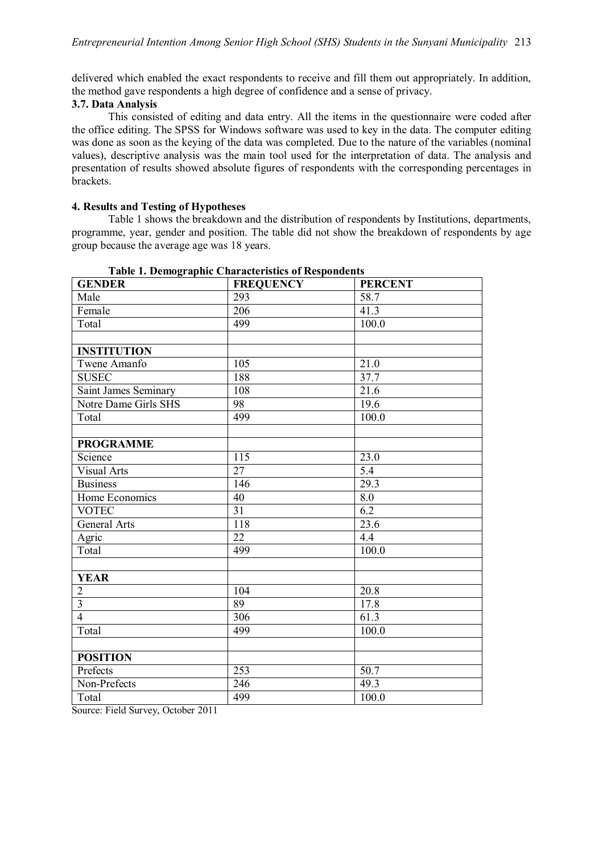delivered which enabled the exact respondents to receive and fill them out appropriately. In addition, the method gave respondents a high degree of confidence and a sense of privacy.

## **3.7. Data Analysis**

This consisted of editing and data entry. All the items in the questionnaire were coded after the office editing. The SPSS for Windows software was used to key in the data. The computer editing was done as soon as the keying of the data was completed. Due to the nature of the variables (nominal values), descriptive analysis was the main tool used for the interpretation of data. The analysis and presentation of results showed absolute figures of respondents with the corresponding percentages in brackets.

## **4. Results and Testing of Hypotheses**

Table 1 shows the breakdown and the distribution of respondents by Institutions, departments, programme, year, gender and position. The table did not show the breakdown of respondents by age group because the average age was 18 years.

| <b>GENDER</b>               | <b>FREQUENCY</b> | <b>PERCENT</b>   |
|-----------------------------|------------------|------------------|
| Male                        | 293              | 58.7             |
| Female                      | 206              | 41.3             |
| Total                       | 499              | 100.0            |
|                             |                  |                  |
| <b>INSTITUTION</b>          |                  |                  |
| Twene Amanfo                | 105              | 21.0             |
| <b>SUSEC</b>                | 188              | 37.7             |
| <b>Saint James Seminary</b> | 108              | 21.6             |
| Notre Dame Girls SHS        | 98               | 19.6             |
| Total                       | 499              | 100.0            |
|                             |                  |                  |
| <b>PROGRAMME</b>            |                  |                  |
| Science                     | 115              | 23.0             |
| <b>Visual Arts</b>          | 27               | $\overline{5.4}$ |
| <b>Business</b>             | 146              | 29.3             |
| Home Economics              | 40               | 8.0              |
| <b>VOTEC</b>                | $\overline{31}$  | $\overline{6.2}$ |
| General Arts                | 118              | 23.6             |
| Agric                       | 22               | 4.4              |
| Total                       | 499              | 100.0            |
|                             |                  |                  |
| <b>YEAR</b>                 |                  |                  |
| $\overline{2}$              | 104              | 20.8             |
| $\overline{\mathbf{3}}$     | 89               | 17.8             |
| $\overline{4}$              | 306              | 61.3             |
| Total                       | 499              | 100.0            |
|                             |                  |                  |
| <b>POSITION</b>             |                  |                  |
| Prefects                    | 253              | 50.7             |
| Non-Prefects                | 246              | 49.3             |
| Total                       | 499              | 100.0            |

**Table 1. Demographic Characteristics of Respondents**

Source: Field Survey, October 2011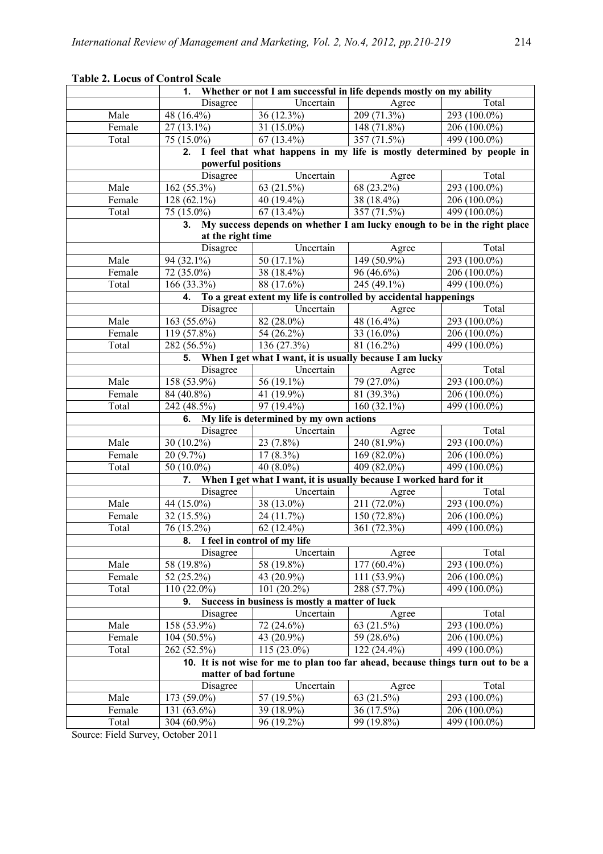| <b>Table 2. Locus of Control Scale</b>                                                            |                                                                                               |                                                                                  |                |                           |  |  |  |  |
|---------------------------------------------------------------------------------------------------|-----------------------------------------------------------------------------------------------|----------------------------------------------------------------------------------|----------------|---------------------------|--|--|--|--|
|                                                                                                   | Whether or not I am successful in life depends mostly on my ability<br>1.                     |                                                                                  |                |                           |  |  |  |  |
|                                                                                                   | <b>Disagree</b>                                                                               | Uncertain                                                                        | Agree          | Total                     |  |  |  |  |
| Male                                                                                              | 48 (16.4%)                                                                                    | 36 (12.3%)                                                                       | 209 (71.3%)    | $293(100.0\%)$            |  |  |  |  |
| Female                                                                                            | $27(13.1\%)$                                                                                  | 31 $(15.0\%)$                                                                    | 148 $(71.8\%)$ | 206 (100.0%)              |  |  |  |  |
| Total                                                                                             | 75 (15.0%)                                                                                    | 67 $(13.4\%)$                                                                    | 357 (71.5%)    | 499 $(100.0\%)$           |  |  |  |  |
| I feel that what happens in my life is mostly determined by people in<br>2.<br>powerful positions |                                                                                               |                                                                                  |                |                           |  |  |  |  |
|                                                                                                   | Uncertain<br>Total<br>Disagree<br>Agree                                                       |                                                                                  |                |                           |  |  |  |  |
| Male                                                                                              | 162 (55.3%)                                                                                   | 63 (21.5%)                                                                       | 68 (23.2%)     | 293 (100.0%)              |  |  |  |  |
| Female                                                                                            | 128 (62.1%)                                                                                   | 40 (19.4%)                                                                       | 38 (18.4%)     | 206 (100.0%)              |  |  |  |  |
| Total                                                                                             | 75 (15.0%)                                                                                    | $67(13.4\%)$                                                                     | 357 $(71.5\%)$ | 499 (100.0%)              |  |  |  |  |
|                                                                                                   | 3.                                                                                            |                                                                                  |                |                           |  |  |  |  |
|                                                                                                   | My success depends on whether I am lucky enough to be in the right place<br>at the right time |                                                                                  |                |                           |  |  |  |  |
|                                                                                                   | Disagree                                                                                      | Uncertain                                                                        | Agree          | Total                     |  |  |  |  |
| Male                                                                                              | 94 (32.1%)                                                                                    | 50 (17.1%)                                                                       | 149 (50.9%)    | 293 (100.0%)              |  |  |  |  |
| Female                                                                                            | 72 (35.0%)                                                                                    | 38 (18.4%)                                                                       | 96 (46.6%)     | 206 (100.0%)              |  |  |  |  |
| Total                                                                                             | 166 (33.3%)                                                                                   | 88 (17.6%)                                                                       | 245 (49.1%)    | $\overline{499}$ (100.0%) |  |  |  |  |
|                                                                                                   | 4.                                                                                            | To a great extent my life is controlled by accidental happenings                 |                |                           |  |  |  |  |
|                                                                                                   | Disagree                                                                                      | Uncertain                                                                        | Agree          | Total                     |  |  |  |  |
| Male                                                                                              | 163 (55.6%)                                                                                   | 82 (28.0%)                                                                       | 48 (16.4%)     | 293 (100.0%)              |  |  |  |  |
| Female                                                                                            | 119 (57.8%)                                                                                   | 54 (26.2%)                                                                       | 33 $(16.0\%)$  | 206 (100.0%)              |  |  |  |  |
| Total                                                                                             | 282 (56.5%)                                                                                   | 136 (27.3%)                                                                      | 81 (16.2%)     | 499 (100.0%)              |  |  |  |  |
|                                                                                                   | 5.                                                                                            | When I get what I want, it is usually because I am lucky                         |                |                           |  |  |  |  |
|                                                                                                   | Disagree                                                                                      | Uncertain                                                                        | Agree          | Total                     |  |  |  |  |
| Male                                                                                              | $\overline{158}$ (53.9%)                                                                      | 56 (19.1%)                                                                       | 79 (27.0%)     | 293 (100.0%)              |  |  |  |  |
| Female                                                                                            | 84 (40.8%)                                                                                    | 41 (19.9%)                                                                       | 81 (39.3%)     | 206 (100.0%)              |  |  |  |  |
| Total                                                                                             | 242 (48.5%)                                                                                   | 97 (19.4%)                                                                       | 160 $(32.1\%)$ | $\overline{499}$ (100.0%) |  |  |  |  |
|                                                                                                   | My life is determined by my own actions<br>6.                                                 |                                                                                  |                |                           |  |  |  |  |
|                                                                                                   | <b>Disagree</b>                                                                               | Uncertain                                                                        | Agree          | Total                     |  |  |  |  |
| Male                                                                                              | 30 (10.2%)                                                                                    | $23(7.8\%)$                                                                      | 240 (81.9%)    | 293 (100.0%)              |  |  |  |  |
| Female                                                                                            | $20(9.7\%)$                                                                                   | $17(8.3\%)$                                                                      | 169 (82.0%)    | 206 (100.0%)              |  |  |  |  |
| Total                                                                                             | 50 (10.0%)                                                                                    | 40 $(8.0\%)$                                                                     | 409 (82.0%)    | 499 (100.0%)              |  |  |  |  |
|                                                                                                   | 7.                                                                                            | When I get what I want, it is usually because I worked hard for it               |                |                           |  |  |  |  |
|                                                                                                   | Disagree                                                                                      | Uncertain                                                                        | Agree          | Total                     |  |  |  |  |
| Male                                                                                              | 44 (15.0%)                                                                                    | 38 (13.0%)                                                                       | 211 (72.0%)    | 293 (100.0%)              |  |  |  |  |
| Female                                                                                            | 32 (15.5%)                                                                                    | 24 (11.7%)                                                                       | 150 (72.8%)    | 206 (100.0%)              |  |  |  |  |
| Total                                                                                             | 76 (15.2%)                                                                                    | 62 $(12.4\%)$                                                                    | 361 (72.3%)    | $\overline{499}$ (100.0%) |  |  |  |  |
|                                                                                                   | I feel in control of my life<br>8.                                                            |                                                                                  |                |                           |  |  |  |  |
|                                                                                                   | Disagree                                                                                      | Uncertain                                                                        | Agree          | Total                     |  |  |  |  |
| Male                                                                                              | 58 (19.8%)                                                                                    | 58 (19.8%)                                                                       | $177(60.4\%)$  | 293 (100.0%)              |  |  |  |  |
| Female                                                                                            | 52 (25.2%)                                                                                    | 43 (20.9%)                                                                       | 111 (53.9%)    | 206 (100.0%)              |  |  |  |  |
| Total                                                                                             | $110(22.0\%)$                                                                                 | 101 $(20.2\%)$                                                                   | 288 (57.7%)    | 499 (100.0%)              |  |  |  |  |
|                                                                                                   | 9.                                                                                            | Success in business is mostly a matter of luck                                   |                |                           |  |  |  |  |
|                                                                                                   | Disagree                                                                                      | Uncertain                                                                        | Agree          | Total                     |  |  |  |  |
| Male                                                                                              | 158 (53.9%)                                                                                   | 72 (24.6%)                                                                       | 63 (21.5%)     | 293 (100.0%)              |  |  |  |  |
| Female                                                                                            | 104 (50.5%)                                                                                   | 43 (20.9%)                                                                       | 59 (28.6%)     | $206(100.0\%)$            |  |  |  |  |
| Total                                                                                             | 262 (52.5%)                                                                                   | $115(23.0\%)$                                                                    | $122(24.4\%)$  | 499 (100.0%)              |  |  |  |  |
|                                                                                                   |                                                                                               | 10. It is not wise for me to plan too far ahead, because things turn out to be a |                |                           |  |  |  |  |
|                                                                                                   | matter of bad fortune                                                                         |                                                                                  |                |                           |  |  |  |  |
|                                                                                                   | Disagree                                                                                      | Uncertain                                                                        | Agree          | Total                     |  |  |  |  |
| Male                                                                                              | 173 (59.0%)                                                                                   | 57 (19.5%)                                                                       | 63 (21.5%)     | 293 (100.0%)              |  |  |  |  |
| Female                                                                                            | 131 (63.6%)                                                                                   | 39 (18.9%)                                                                       | 36 (17.5%)     | 206 (100.0%)              |  |  |  |  |
| Total                                                                                             | 304 (60.9%)                                                                                   | 96 (19.2%)                                                                       | 99 (19.8%)     | 499 (100.0%)              |  |  |  |  |
| $E_{\rm{a}}$ and $\Omega_{\rm{a}}$                                                                | $\begin{array}{c}\n\lambda & \lambda \\ \lambda & \lambda\n\end{array}$                       |                                                                                  |                |                           |  |  |  |  |

# **Table 2. Locus of Control Scale**

Source: Field Survey, October 2011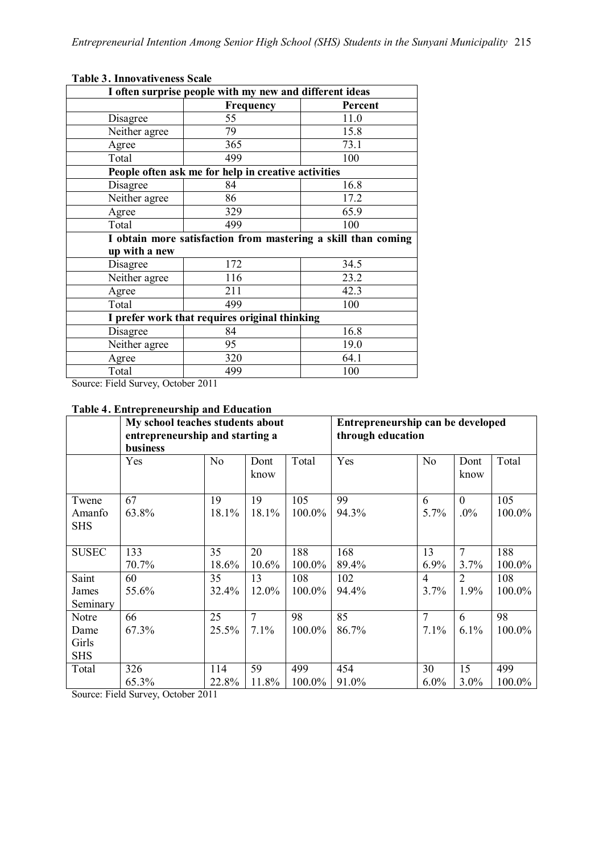| I often surprise people with my new and different ideas |                                                     |                                                               |  |  |  |
|---------------------------------------------------------|-----------------------------------------------------|---------------------------------------------------------------|--|--|--|
|                                                         | <b>Frequency</b>                                    | Percent                                                       |  |  |  |
| Disagree                                                | 55                                                  | 11.0                                                          |  |  |  |
| Neither agree                                           | 79                                                  | 15.8                                                          |  |  |  |
| Agree                                                   | 365                                                 | 73.1                                                          |  |  |  |
| Total                                                   | 499                                                 | 100                                                           |  |  |  |
|                                                         | People often ask me for help in creative activities |                                                               |  |  |  |
| Disagree                                                | 84                                                  | 16.8                                                          |  |  |  |
| Neither agree                                           | 86                                                  | 17.2                                                          |  |  |  |
| Agree                                                   | 329                                                 | 65.9                                                          |  |  |  |
| Total                                                   | 499                                                 | 100                                                           |  |  |  |
|                                                         |                                                     | I obtain more satisfaction from mastering a skill than coming |  |  |  |
| up with a new                                           |                                                     |                                                               |  |  |  |
| Disagree                                                | 172                                                 | 34.5                                                          |  |  |  |
| Neither agree                                           | 116                                                 | 23.2                                                          |  |  |  |
| Agree                                                   | 211                                                 | 42.3                                                          |  |  |  |
| Total                                                   | 499                                                 | 100                                                           |  |  |  |
| I prefer work that requires original thinking           |                                                     |                                                               |  |  |  |
| Disagree                                                | 84                                                  | 16.8                                                          |  |  |  |
| Neither agree                                           | 95                                                  | 19.0                                                          |  |  |  |
| Agree                                                   | 320                                                 | 64.1                                                          |  |  |  |
| Total                                                   | 499                                                 | 100                                                           |  |  |  |

# **Table 3. Innovativeness Scale**

Source: Field Survey, October 2011

# **Table 4. Entrepreneurship and Education**

|                      | My school teaches students about<br>entrepreneurship and starting a<br>business |                |              | Entrepreneurship can be developed<br>through education |       |                |                |        |
|----------------------|---------------------------------------------------------------------------------|----------------|--------------|--------------------------------------------------------|-------|----------------|----------------|--------|
|                      | Yes                                                                             | N <sub>0</sub> | Dont<br>know | Total                                                  | Yes   | N <sub>o</sub> | Dont<br>know   | Total  |
| Twene                | 67                                                                              | 19             | 19           | 105                                                    | 99    | 6              | $\overline{0}$ | 105    |
| Amanfo<br><b>SHS</b> | 63.8%                                                                           | 18.1%          | 18.1%        | 100.0%                                                 | 94.3% | 5.7%           | $.0\%$         | 100.0% |
| <b>SUSEC</b>         | 133                                                                             | 35             | 20           | 188                                                    | 168   | 13             | $\tau$         | 188    |
|                      | 70.7%                                                                           | 18.6%          | 10.6%        | 100.0%                                                 | 89.4% | 6.9%           | 3.7%           | 100.0% |
| Saint                | 60                                                                              | 35             | 13           | 108                                                    | 102   | $\overline{4}$ | 2              | 108    |
| James                | 55.6%                                                                           | 32.4%          | 12.0%        | $100.0\%$                                              | 94.4% | 3.7%           | $1.9\%$        | 100.0% |
| Seminary             |                                                                                 |                |              |                                                        |       |                |                |        |
| Notre                | 66                                                                              | 25             | $\tau$       | 98                                                     | 85    | 7              | 6              | 98     |
| Dame                 | 67.3%                                                                           | 25.5%          | 7.1%         | 100.0%                                                 | 86.7% | 7.1%           | 6.1%           | 100.0% |
| Girls<br><b>SHS</b>  |                                                                                 |                |              |                                                        |       |                |                |        |
| Total                | 326                                                                             | 114            | 59           | 499                                                    | 454   | 30             | 15             | 499    |
|                      | 65.3%                                                                           | 22.8%          | 11.8%        | 100.0%                                                 | 91.0% | $6.0\%$        | 3.0%           | 100.0% |

Source: Field Survey, October 2011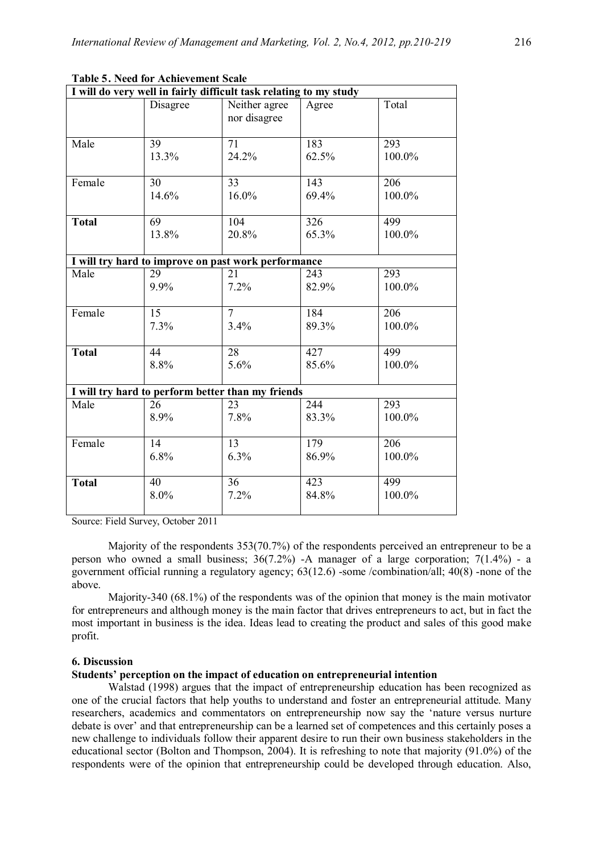|              | I will do very well in fairly difficult task relating to my study |                                                     |       |                  |  |  |  |  |
|--------------|-------------------------------------------------------------------|-----------------------------------------------------|-------|------------------|--|--|--|--|
|              | Disagree                                                          | Neither agree<br>nor disagree                       | Agree | Total            |  |  |  |  |
| Male         | 39                                                                | $\overline{71}$                                     | 183   | 293              |  |  |  |  |
|              | 13.3%                                                             | 24.2%                                               | 62.5% | 100.0%           |  |  |  |  |
| Female       | 30                                                                | 33                                                  | 143   | 206              |  |  |  |  |
|              | 14.6%                                                             | 16.0%                                               | 69.4% | 100.0%           |  |  |  |  |
| <b>Total</b> | 69                                                                | 104                                                 | 326   | 499              |  |  |  |  |
|              | 13.8%                                                             | 20.8%                                               | 65.3% | 100.0%           |  |  |  |  |
|              |                                                                   | I will try hard to improve on past work performance |       |                  |  |  |  |  |
| Male         | 29                                                                | 21                                                  | 243   | 293              |  |  |  |  |
|              | 9.9%                                                              | 7.2%                                                | 82.9% | 100.0%           |  |  |  |  |
| Female       | $\overline{15}$                                                   | $\overline{7}$                                      | 184   | $\overline{206}$ |  |  |  |  |
|              | 7.3%                                                              | 3.4%                                                | 89.3% | 100.0%           |  |  |  |  |
| <b>Total</b> | 44                                                                | 28                                                  | 427   | 499              |  |  |  |  |
|              | 8.8%                                                              | 5.6%                                                | 85.6% | 100.0%           |  |  |  |  |
|              |                                                                   | I will try hard to perform better than my friends   |       |                  |  |  |  |  |
| Male         | 26                                                                | 23                                                  | 244   | 293              |  |  |  |  |
|              | 8.9%                                                              | 7.8%                                                | 83.3% | 100.0%           |  |  |  |  |
| Female       | 14                                                                | $\overline{13}$                                     | 179   | $\overline{206}$ |  |  |  |  |
|              | 6.8%                                                              | 6.3%                                                | 86.9% | 100.0%           |  |  |  |  |
| <b>Total</b> | 40                                                                | 36                                                  | 423   | 499              |  |  |  |  |
|              | 8.0%                                                              | 7.2%                                                | 84.8% | 100.0%           |  |  |  |  |

# **Table 5. Need for Achievement Scale**

Source: Field Survey, October 2011

Majority of the respondents 353(70.7%) of the respondents perceived an entrepreneur to be a person who owned a small business; 36(7.2%) -A manager of a large corporation; 7(1.4%) - a government official running a regulatory agency; 63(12.6) -some /combination/all; 40(8) -none of the above.

Majority-340 (68.1%) of the respondents was of the opinion that money is the main motivator for entrepreneurs and although money is the main factor that drives entrepreneurs to act, but in fact the most important in business is the idea. Ideas lead to creating the product and sales of this good make profit.

### **6. Discussion**

# **Students' perception on the impact of education on entrepreneurial intention**

Walstad (1998) argues that the impact of entrepreneurship education has been recognized as one of the crucial factors that help youths to understand and foster an entrepreneurial attitude. Many researchers, academics and commentators on entrepreneurship now say the 'nature versus nurture debate is over' and that entrepreneurship can be a learned set of competences and this certainly poses a new challenge to individuals follow their apparent desire to run their own business stakeholders in the educational sector (Bolton and Thompson, 2004). It is refreshing to note that majority (91.0%) of the respondents were of the opinion that entrepreneurship could be developed through education. Also,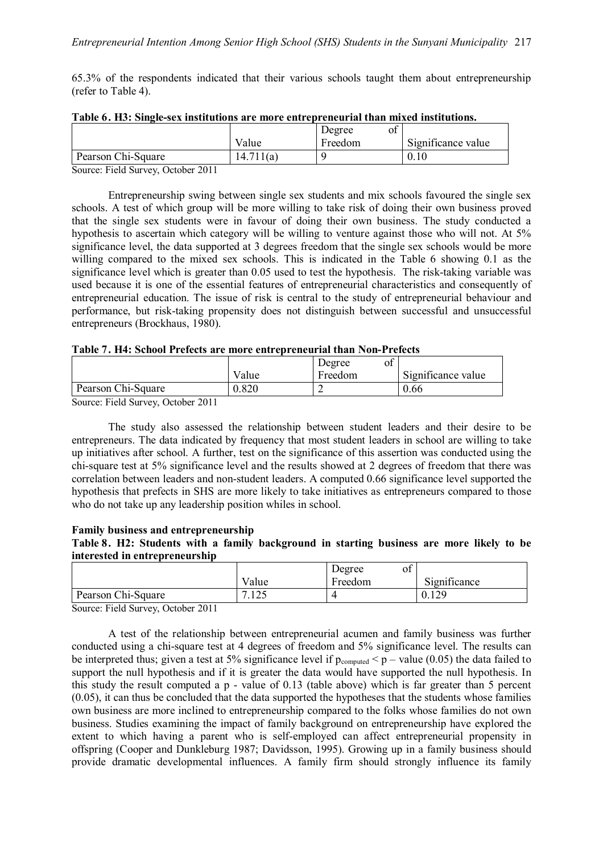65.3% of the respondents indicated that their various schools taught them about entrepreneurship (refer to Table 4).

|                                                               |           | Degree<br>ΟĪ |                    |
|---------------------------------------------------------------|-----------|--------------|--------------------|
|                                                               | Value     | Freedom      | Significance value |
| Pearson Chi-Square                                            | 14.711(a) |              |                    |
| $\sim$<br>$\mathbf{r}$ 11 $\alpha$<br>2011<br>$\sim$ $\sim$ 1 |           |              |                    |

| Table 6. H3: Single-sex institutions are more entrepreneurial than mixed institutions. |  |
|----------------------------------------------------------------------------------------|--|
|----------------------------------------------------------------------------------------|--|

Source: Field Survey, October 2011

Entrepreneurship swing between single sex students and mix schools favoured the single sex schools. A test of which group will be more willing to take risk of doing their own business proved that the single sex students were in favour of doing their own business. The study conducted a hypothesis to ascertain which category will be willing to venture against those who will not. At 5% significance level, the data supported at 3 degrees freedom that the single sex schools would be more willing compared to the mixed sex schools. This is indicated in the Table 6 showing 0.1 as the significance level which is greater than 0.05 used to test the hypothesis. The risk-taking variable was used because it is one of the essential features of entrepreneurial characteristics and consequently of entrepreneurial education. The issue of risk is central to the study of entrepreneurial behaviour and performance, but risk-taking propensity does not distinguish between successful and unsuccessful entrepreneurs (Brockhaus, 1980).

| Table 7. H4: School Prefects are more entrepreneurial than Non-Prefects |  |
|-------------------------------------------------------------------------|--|
|-------------------------------------------------------------------------|--|

|                                                                          |       | Degree<br>ot |                    |
|--------------------------------------------------------------------------|-------|--------------|--------------------|
|                                                                          | Value | Freedom      | Significance value |
| Pearson Chi-Square                                                       | 0.820 | ∸            | 0.66               |
| $\sim$<br>$-1$ $-1$ $-1$<br>$\sim$ $\sim$ $\sim$<br>$\sim$ $\sim$ $\sim$ |       |              |                    |

Source: Field Survey, October 2011

The study also assessed the relationship between student leaders and their desire to be entrepreneurs. The data indicated by frequency that most student leaders in school are willing to take up initiatives after school. A further, test on the significance of this assertion was conducted using the chi-square test at 5% significance level and the results showed at 2 degrees of freedom that there was correlation between leaders and non-student leaders. A computed 0.66 significance level supported the hypothesis that prefects in SHS are more likely to take initiatives as entrepreneurs compared to those who do not take up any leadership position whiles in school.

## **Family business and entrepreneurship**

**Table 8. H2: Students with a family background in starting business are more likely to be interested in entrepreneurship**

|                    |                        | ot<br>Degree |              |
|--------------------|------------------------|--------------|--------------|
|                    | Value                  | Freedom      | Significance |
| Pearson Chi-Square | .125<br>$\overline{ }$ |              | 0.129        |

Source: Field Survey, October 2011

A test of the relationship between entrepreneurial acumen and family business was further conducted using a chi-square test at 4 degrees of freedom and 5% significance level. The results can be interpreted thus; given a test at 5% significance level if  $p_{\text{computed}} < p$  – value (0.05) the data failed to support the null hypothesis and if it is greater the data would have supported the null hypothesis. In this study the result computed a p - value of 0.13 (table above) which is far greater than 5 percent (0.05), it can thus be concluded that the data supported the hypotheses that the students whose families own business are more inclined to entrepreneurship compared to the folks whose families do not own business. Studies examining the impact of family background on entrepreneurship have explored the extent to which having a parent who is self-employed can affect entrepreneurial propensity in offspring (Cooper and Dunkleburg 1987; Davidsson, 1995). Growing up in a family business should provide dramatic developmental influences. A family firm should strongly influence its family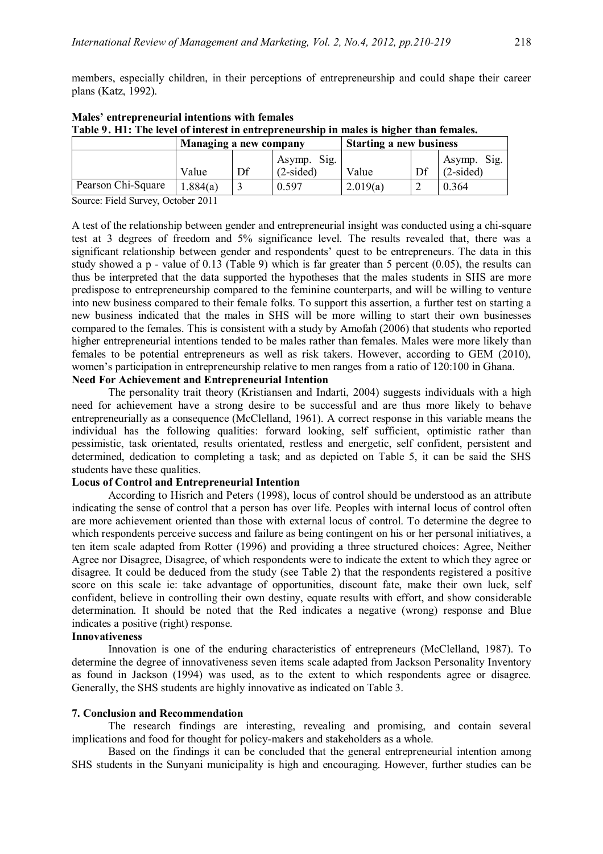members, especially children, in their perceptions of entrepreneurship and could shape their career plans (Katz, 1992).

| Table 2, 111, The level of filterest in entrepreneurship in males is higher than remales. |                        |    |                            |                                |    |                            |  |
|-------------------------------------------------------------------------------------------|------------------------|----|----------------------------|--------------------------------|----|----------------------------|--|
|                                                                                           | Managing a new company |    |                            | <b>Starting a new business</b> |    |                            |  |
|                                                                                           | Value                  | Df | Asymp. Sig.<br>$(2-sided)$ | Value                          | Df | Asymp. Sig.<br>$(2-sided)$ |  |
| Pearson Chi-Square                                                                        | 1.884(a)               |    | 0.597                      | 2.019(a)                       |    | 0.364                      |  |

# **Males' entrepreneurial intentions with females Table 9. H1: The level of interest in entrepreneurship in males is higher than females.**

Source: Field Survey, October 2011

A test of the relationship between gender and entrepreneurial insight was conducted using a chi-square test at 3 degrees of freedom and 5% significance level. The results revealed that, there was a significant relationship between gender and respondents' quest to be entrepreneurs. The data in this study showed a p - value of 0.13 (Table 9) which is far greater than 5 percent (0.05), the results can thus be interpreted that the data supported the hypotheses that the males students in SHS are more predispose to entrepreneurship compared to the feminine counterparts, and will be willing to venture into new business compared to their female folks. To support this assertion, a further test on starting a new business indicated that the males in SHS will be more willing to start their own businesses compared to the females. This is consistent with a study by Amofah (2006) that students who reported higher entrepreneurial intentions tended to be males rather than females. Males were more likely than females to be potential entrepreneurs as well as risk takers. However, according to GEM (2010), women's participation in entrepreneurship relative to men ranges from a ratio of 120:100 in Ghana.

## **Need For Achievement and Entrepreneurial Intention**

The personality trait theory (Kristiansen and Indarti, 2004) suggests individuals with a high need for achievement have a strong desire to be successful and are thus more likely to behave entrepreneurially as a consequence (McClelland, 1961). A correct response in this variable means the individual has the following qualities: forward looking, self sufficient, optimistic rather than pessimistic, task orientated, results orientated, restless and energetic, self confident, persistent and determined, dedication to completing a task; and as depicted on Table 5, it can be said the SHS students have these qualities.

## **Locus of Control and Entrepreneurial Intention**

According to Hisrich and Peters (1998), locus of control should be understood as an attribute indicating the sense of control that a person has over life. Peoples with internal locus of control often are more achievement oriented than those with external locus of control. To determine the degree to which respondents perceive success and failure as being contingent on his or her personal initiatives, a ten item scale adapted from Rotter (1996) and providing a three structured choices: Agree, Neither Agree nor Disagree, Disagree, of which respondents were to indicate the extent to which they agree or disagree. It could be deduced from the study (see Table 2) that the respondents registered a positive score on this scale ie: take advantage of opportunities, discount fate, make their own luck, self confident, believe in controlling their own destiny, equate results with effort, and show considerable determination. It should be noted that the Red indicates a negative (wrong) response and Blue indicates a positive (right) response.

#### **Innovativeness**

Innovation is one of the enduring characteristics of entrepreneurs (McClelland, 1987). To determine the degree of innovativeness seven items scale adapted from Jackson Personality Inventory as found in Jackson (1994) was used, as to the extent to which respondents agree or disagree. Generally, the SHS students are highly innovative as indicated on Table 3.

#### **7. Conclusion and Recommendation**

The research findings are interesting, revealing and promising, and contain several implications and food for thought for policy-makers and stakeholders as a whole.

Based on the findings it can be concluded that the general entrepreneurial intention among SHS students in the Sunyani municipality is high and encouraging. However, further studies can be